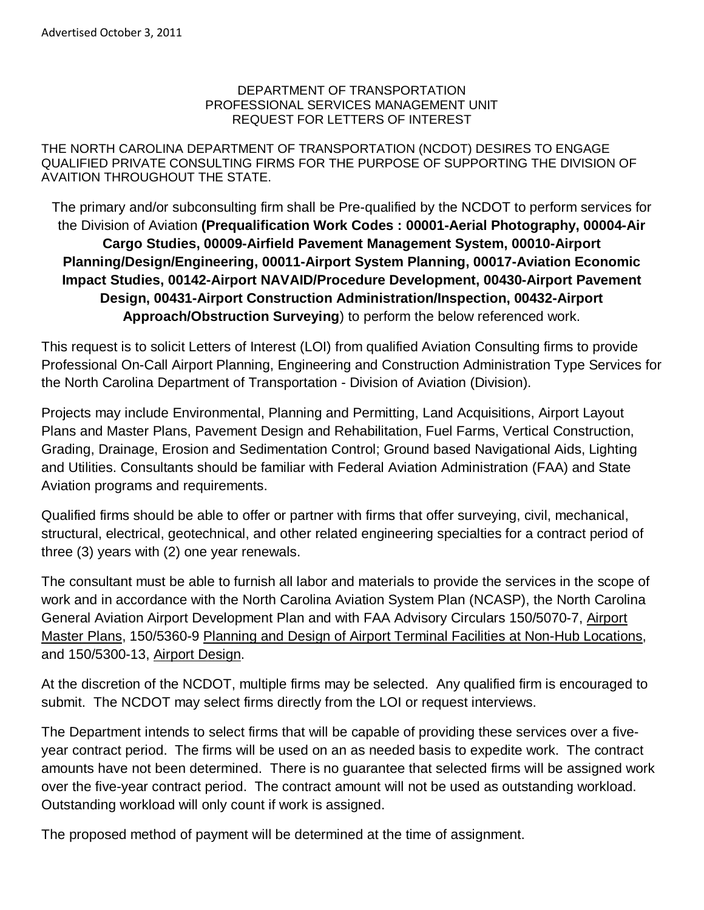#### DEPARTMENT OF TRANSPORTATION PROFESSIONAL SERVICES MANAGEMENT UNIT REQUEST FOR LETTERS OF INTEREST

THE NORTH CAROLINA DEPARTMENT OF TRANSPORTATION (NCDOT) DESIRES TO ENGAGE QUALIFIED PRIVATE CONSULTING FIRMS FOR THE PURPOSE OF SUPPORTING THE DIVISION OF AVAITION THROUGHOUT THE STATE.

The primary and/or subconsulting firm shall be Pre-qualified by the NCDOT to perform services for the Division of Aviation **(Prequalification Work Codes : 00001-Aerial Photography, 00004-Air Cargo Studies, 00009-Airfield Pavement Management System, 00010-Airport Planning/Design/Engineering, 00011-Airport System Planning, 00017-Aviation Economic Impact Studies, 00142-Airport NAVAID/Procedure Development, 00430-Airport Pavement Design, 00431-Airport Construction Administration/Inspection, 00432-Airport Approach/Obstruction Surveying**) to perform the below referenced work.

This request is to solicit Letters of Interest (LOI) from qualified Aviation Consulting firms to provide Professional On-Call Airport Planning, Engineering and Construction Administration Type Services for the North Carolina Department of Transportation - Division of Aviation (Division).

Projects may include Environmental, Planning and Permitting, Land Acquisitions, Airport Layout Plans and Master Plans, Pavement Design and Rehabilitation, Fuel Farms, Vertical Construction, Grading, Drainage, Erosion and Sedimentation Control; Ground based Navigational Aids, Lighting and Utilities. Consultants should be familiar with Federal Aviation Administration (FAA) and State Aviation programs and requirements.

Qualified firms should be able to offer or partner with firms that offer surveying, civil, mechanical, structural, electrical, geotechnical, and other related engineering specialties for a contract period of three (3) years with (2) one year renewals.

The consultant must be able to furnish all labor and materials to provide the services in the scope of work and in accordance with the North Carolina Aviation System Plan (NCASP), the North Carolina General Aviation Airport Development Plan and with FAA Advisory Circulars 150/5070-7, Airport Master Plans, 150/5360-9 Planning and Design of Airport Terminal Facilities at Non-Hub Locations, and 150/5300-13, Airport Design.

At the discretion of the NCDOT, multiple firms may be selected. Any qualified firm is encouraged to submit. The NCDOT may select firms directly from the LOI or request interviews.

The Department intends to select firms that will be capable of providing these services over a fiveyear contract period. The firms will be used on an as needed basis to expedite work. The contract amounts have not been determined. There is no guarantee that selected firms will be assigned work over the five-year contract period. The contract amount will not be used as outstanding workload. Outstanding workload will only count if work is assigned.

The proposed method of payment will be determined at the time of assignment.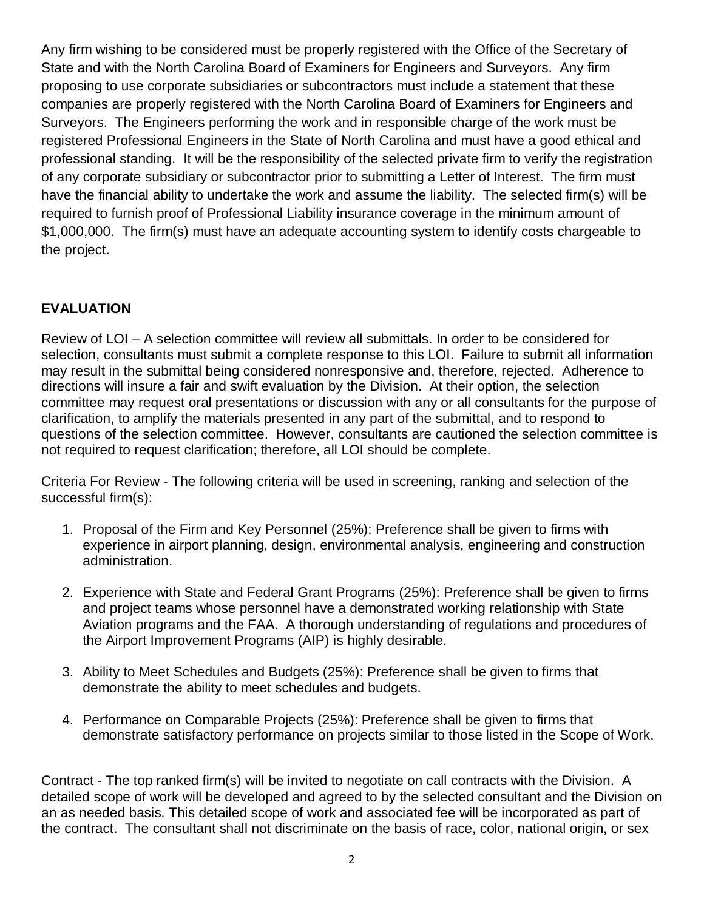Any firm wishing to be considered must be properly registered with the Office of the Secretary of State and with the North Carolina Board of Examiners for Engineers and Surveyors. Any firm proposing to use corporate subsidiaries or subcontractors must include a statement that these companies are properly registered with the North Carolina Board of Examiners for Engineers and Surveyors. The Engineers performing the work and in responsible charge of the work must be registered Professional Engineers in the State of North Carolina and must have a good ethical and professional standing. It will be the responsibility of the selected private firm to verify the registration of any corporate subsidiary or subcontractor prior to submitting a Letter of Interest. The firm must have the financial ability to undertake the work and assume the liability. The selected firm(s) will be required to furnish proof of Professional Liability insurance coverage in the minimum amount of \$1,000,000. The firm(s) must have an adequate accounting system to identify costs chargeable to the project.

# **EVALUATION**

Review of LOI – A selection committee will review all submittals. In order to be considered for selection, consultants must submit a complete response to this LOI. Failure to submit all information may result in the submittal being considered nonresponsive and, therefore, rejected. Adherence to directions will insure a fair and swift evaluation by the Division. At their option, the selection committee may request oral presentations or discussion with any or all consultants for the purpose of clarification, to amplify the materials presented in any part of the submittal, and to respond to questions of the selection committee. However, consultants are cautioned the selection committee is not required to request clarification; therefore, all LOI should be complete.

Criteria For Review - The following criteria will be used in screening, ranking and selection of the successful firm(s):

- 1. Proposal of the Firm and Key Personnel (25%): Preference shall be given to firms with experience in airport planning, design, environmental analysis, engineering and construction administration.
- 2. Experience with State and Federal Grant Programs (25%): Preference shall be given to firms and project teams whose personnel have a demonstrated working relationship with State Aviation programs and the FAA. A thorough understanding of regulations and procedures of the Airport Improvement Programs (AIP) is highly desirable.
- 3. Ability to Meet Schedules and Budgets (25%): Preference shall be given to firms that demonstrate the ability to meet schedules and budgets.
- 4. Performance on Comparable Projects (25%): Preference shall be given to firms that demonstrate satisfactory performance on projects similar to those listed in the Scope of Work.

Contract - The top ranked firm(s) will be invited to negotiate on call contracts with the Division. A detailed scope of work will be developed and agreed to by the selected consultant and the Division on an as needed basis. This detailed scope of work and associated fee will be incorporated as part of the contract. The consultant shall not discriminate on the basis of race, color, national origin, or sex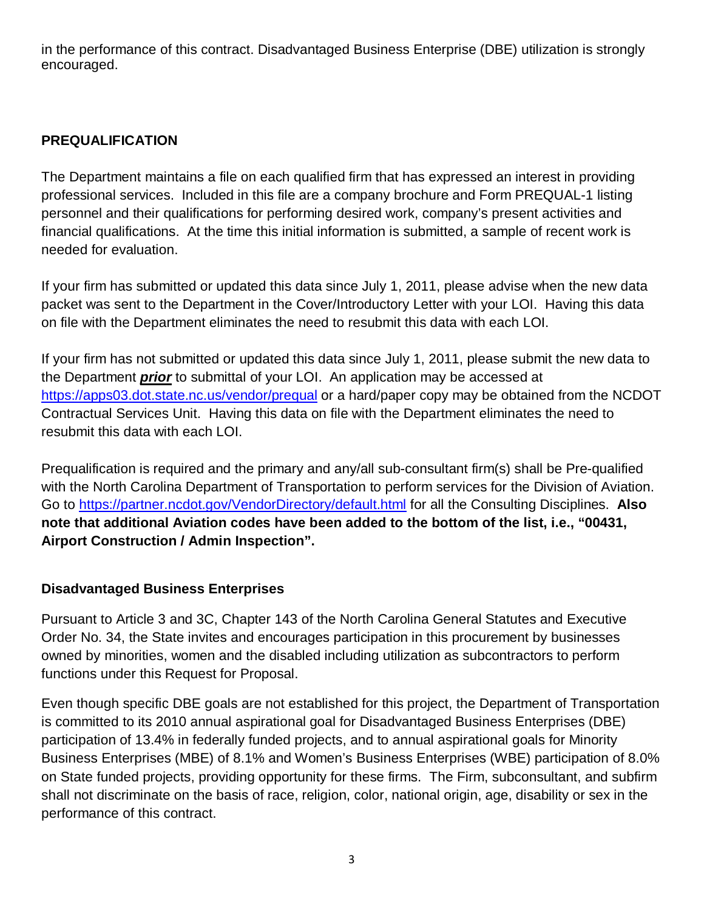in the performance of this contract. Disadvantaged Business Enterprise (DBE) utilization is strongly encouraged.

#### **PREQUALIFICATION**

The Department maintains a file on each qualified firm that has expressed an interest in providing professional services. Included in this file are a company brochure and Form PREQUAL-1 listing personnel and their qualifications for performing desired work, company's present activities and financial qualifications. At the time this initial information is submitted, a sample of recent work is needed for evaluation.

If your firm has submitted or updated this data since July 1, 2011, please advise when the new data packet was sent to the Department in the Cover/Introductory Letter with your LOI. Having this data on file with the Department eliminates the need to resubmit this data with each LOI.

If your firm has not submitted or updated this data since July 1, 2011, please submit the new data to the Department **prior** to submittal of your LOI. An application may be accessed at https://apps03.dot.state.nc.us/vendor/prequal or a hard/paper copy may be obtained from the NCDOT Contractual Services Unit. Having this data on file with the Department eliminates the need to resubmit this data with each LOI.

Prequalification is required and the primary and any/all sub-consultant firm(s) shall be Pre-qualified with the North Carolina Department of Transportation to perform services for the Division of Aviation. Go to https://partner.ncdot.gov/VendorDirectory/default.html for all the Consulting Disciplines. **Also note that additional Aviation codes have been added to the bottom of the list, i.e., "00431, Airport Construction / Admin Inspection".**

#### **Disadvantaged Business Enterprises**

Pursuant to Article 3 and 3C, Chapter 143 of the North Carolina General Statutes and Executive Order No. 34, the State invites and encourages participation in this procurement by businesses owned by minorities, women and the disabled including utilization as subcontractors to perform functions under this Request for Proposal.

Even though specific DBE goals are not established for this project, the Department of Transportation is committed to its 2010 annual aspirational goal for Disadvantaged Business Enterprises (DBE) participation of 13.4% in federally funded projects, and to annual aspirational goals for Minority Business Enterprises (MBE) of 8.1% and Women's Business Enterprises (WBE) participation of 8.0% on State funded projects, providing opportunity for these firms. The Firm, subconsultant, and subfirm shall not discriminate on the basis of race, religion, color, national origin, age, disability or sex in the performance of this contract.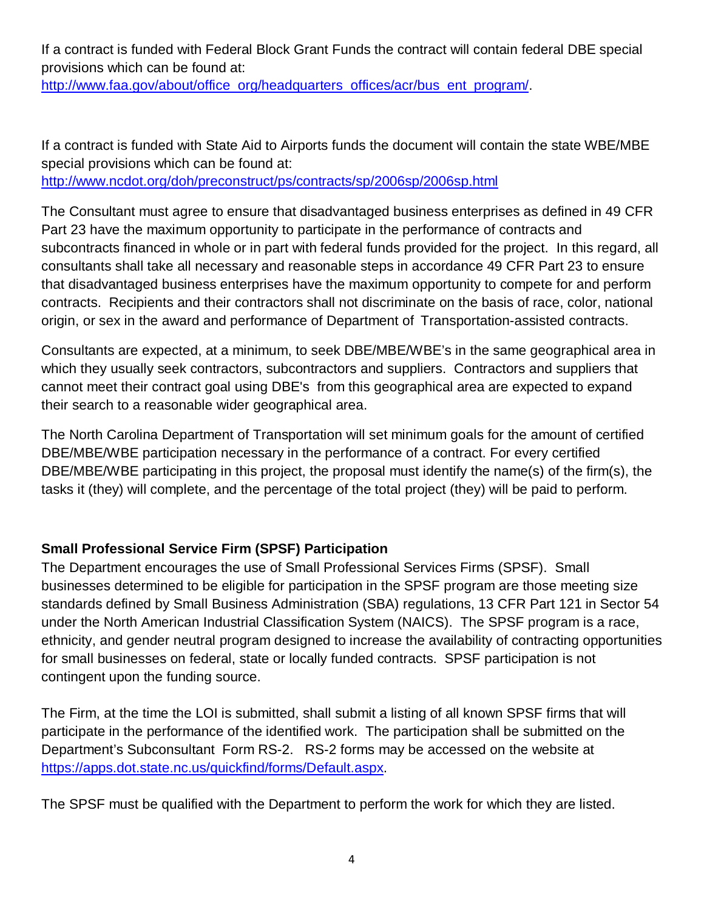If a contract is funded with Federal Block Grant Funds the contract will contain federal DBE special provisions which can be found at:

http://www.faa.gov/about/office\_org/headquarters\_offices/acr/bus\_ent\_program/.

If a contract is funded with State Aid to Airports funds the document will contain the state WBE/MBE special provisions which can be found at:

http://www.ncdot.org/doh/preconstruct/ps/contracts/sp/2006sp/2006sp.html

The Consultant must agree to ensure that disadvantaged business enterprises as defined in 49 CFR Part 23 have the maximum opportunity to participate in the performance of contracts and subcontracts financed in whole or in part with federal funds provided for the project. In this regard, all consultants shall take all necessary and reasonable steps in accordance 49 CFR Part 23 to ensure that disadvantaged business enterprises have the maximum opportunity to compete for and perform contracts. Recipients and their contractors shall not discriminate on the basis of race, color, national origin, or sex in the award and performance of Department of Transportation-assisted contracts.

Consultants are expected, at a minimum, to seek DBE/MBE/WBE's in the same geographical area in which they usually seek contractors, subcontractors and suppliers. Contractors and suppliers that cannot meet their contract goal using DBE's from this geographical area are expected to expand their search to a reasonable wider geographical area.

The North Carolina Department of Transportation will set minimum goals for the amount of certified DBE/MBE/WBE participation necessary in the performance of a contract. For every certified DBE/MBE/WBE participating in this project, the proposal must identify the name(s) of the firm(s), the tasks it (they) will complete, and the percentage of the total project (they) will be paid to perform.

## **Small Professional Service Firm (SPSF) Participation**

The Department encourages the use of Small Professional Services Firms (SPSF). Small businesses determined to be eligible for participation in the SPSF program are those meeting size standards defined by Small Business Administration (SBA) regulations, 13 CFR Part 121 in Sector 54 under the North American Industrial Classification System (NAICS). The SPSF program is a race, ethnicity, and gender neutral program designed to increase the availability of contracting opportunities for small businesses on federal, state or locally funded contracts. SPSF participation is not contingent upon the funding source.

The Firm, at the time the LOI is submitted, shall submit a listing of all known SPSF firms that will participate in the performance of the identified work. The participation shall be submitted on the Department's Subconsultant Form RS-2. RS-2 forms may be accessed on the website at https://apps.dot.state.nc.us/quickfind/forms/Default.aspx.

The SPSF must be qualified with the Department to perform the work for which they are listed.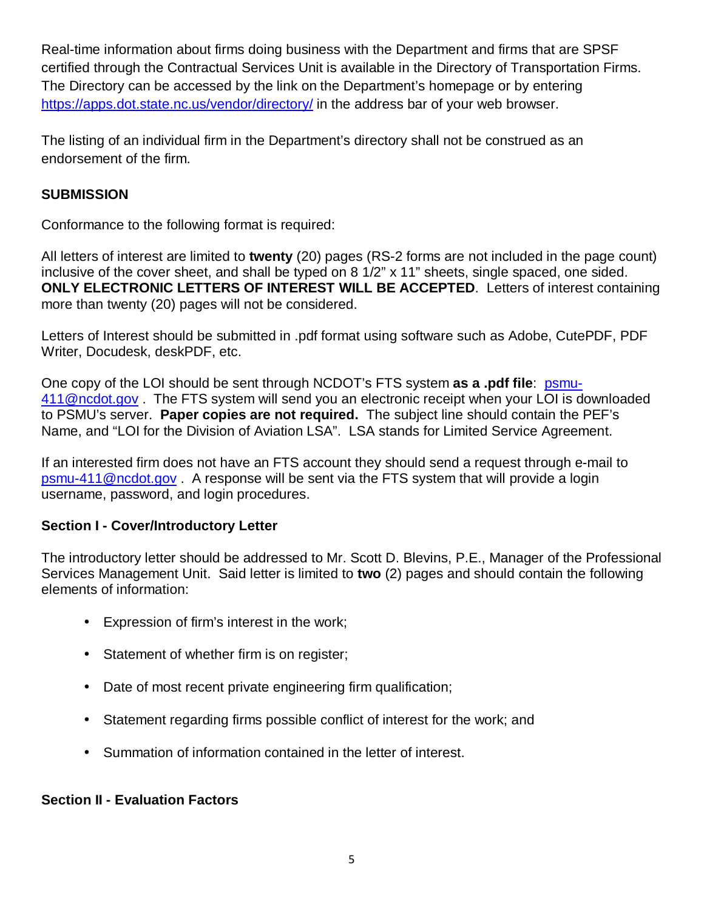Real-time information about firms doing business with the Department and firms that are SPSF certified through the Contractual Services Unit is available in the Directory of Transportation Firms. The Directory can be accessed by the link on the Department's homepage or by entering https://apps.dot.state.nc.us/vendor/directory/ in the address bar of your web browser.

The listing of an individual firm in the Department's directory shall not be construed as an endorsement of the firm.

#### **SUBMISSION**

Conformance to the following format is required:

All letters of interest are limited to **twenty** (20) pages (RS-2 forms are not included in the page count) inclusive of the cover sheet, and shall be typed on 8 1/2" x 11" sheets, single spaced, one sided. **ONLY ELECTRONIC LETTERS OF INTEREST WILL BE ACCEPTED**. Letters of interest containing more than twenty (20) pages will not be considered.

Letters of Interest should be submitted in .pdf format using software such as Adobe, CutePDF, PDF Writer, Docudesk, deskPDF, etc.

One copy of the LOI should be sent through NCDOT's FTS system **as a .pdf file**: psmu-411@ncdot.gov . The FTS system will send you an electronic receipt when your LOI is downloaded to PSMU's server. **Paper copies are not required.** The subject line should contain the PEF's Name, and "LOI for the Division of Aviation LSA". LSA stands for Limited Service Agreement.

If an interested firm does not have an FTS account they should send a request through e-mail to psmu-411@ncdot.gov . A response will be sent via the FTS system that will provide a login username, password, and login procedures.

## **Section I - Cover/Introductory Letter**

The introductory letter should be addressed to Mr. Scott D. Blevins, P.E., Manager of the Professional Services Management Unit. Said letter is limited to **two** (2) pages and should contain the following elements of information:

- Expression of firm's interest in the work;
- Statement of whether firm is on register;
- Date of most recent private engineering firm qualification;
- Statement regarding firms possible conflict of interest for the work; and
- Summation of information contained in the letter of interest.

# **Section II - Evaluation Factors**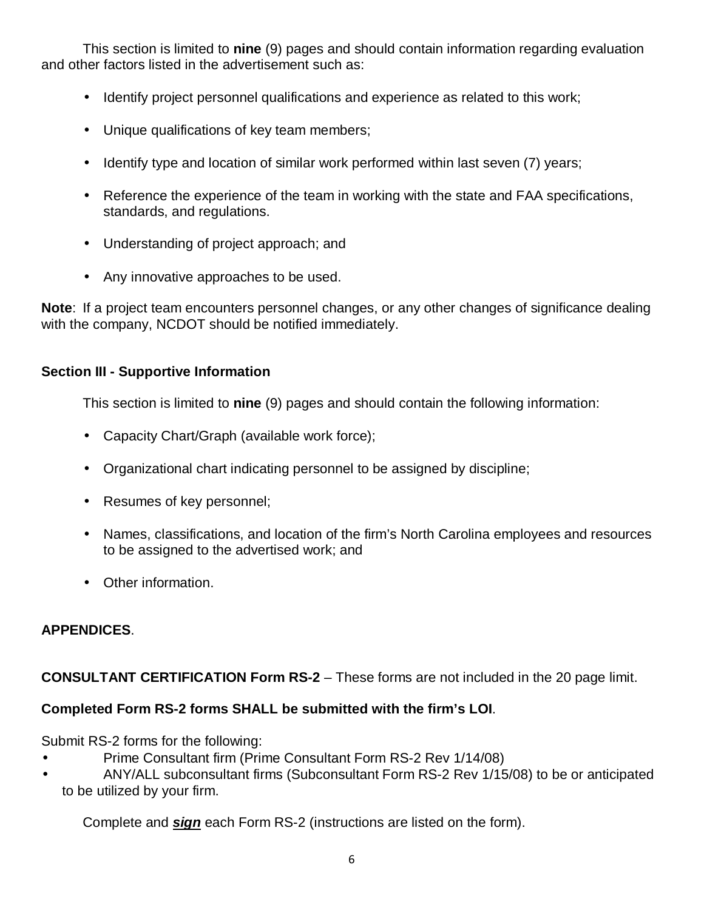This section is limited to **nine** (9) pages and should contain information regarding evaluation and other factors listed in the advertisement such as:

- Identify project personnel qualifications and experience as related to this work;
- Unique qualifications of key team members;
- Identify type and location of similar work performed within last seven (7) years;
- Reference the experience of the team in working with the state and FAA specifications, standards, and regulations.
- Understanding of project approach; and
- Any innovative approaches to be used.

**Note**: If a project team encounters personnel changes, or any other changes of significance dealing with the company, NCDOT should be notified immediately.

#### **Section III - Supportive Information**

This section is limited to **nine** (9) pages and should contain the following information:

- Capacity Chart/Graph (available work force);
- Organizational chart indicating personnel to be assigned by discipline;
- Resumes of key personnel;
- Names, classifications, and location of the firm's North Carolina employees and resources to be assigned to the advertised work; and
- Other information.

## **APPENDICES**.

## **CONSULTANT CERTIFICATION Form RS-2** – These forms are not included in the 20 page limit.

## **Completed Form RS-2 forms SHALL be submitted with the firm's LOI**.

Submit RS-2 forms for the following:

- Prime Consultant firm (Prime Consultant Form RS-2 Rev 1/14/08)
- ANY/ALL subconsultant firms (Subconsultant Form RS-2 Rev 1/15/08) to be or anticipated to be utilized by your firm.

Complete and **sign** each Form RS-2 (instructions are listed on the form).